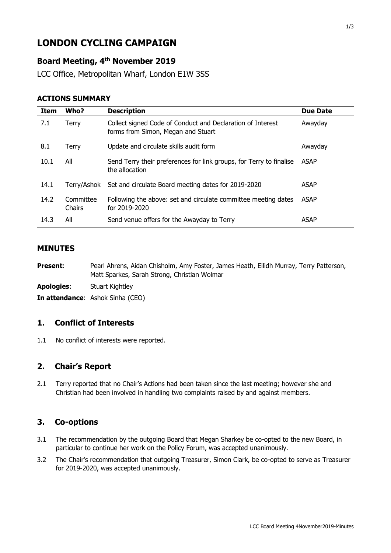# **LONDON CYCLING CAMPAIGN**

# **Board Meeting, 4 th November 2019**

LCC Office, Metropolitan Wharf, London E1W 3SS

#### **ACTIONS SUMMARY**

| Item | Who?                | <b>Description</b>                                                                               | <b>Due Date</b> |
|------|---------------------|--------------------------------------------------------------------------------------------------|-----------------|
| 7.1  | Terry               | Collect signed Code of Conduct and Declaration of Interest<br>forms from Simon, Megan and Stuart | Awayday         |
| 8.1  | Terry               | Update and circulate skills audit form                                                           | Awayday         |
| 10.1 | All                 | Send Terry their preferences for link groups, for Terry to finalise<br>the allocation            | <b>ASAP</b>     |
| 14.1 | Terrv/Ashok         | Set and circulate Board meeting dates for 2019-2020                                              | <b>ASAP</b>     |
| 14.2 | Committee<br>Chairs | Following the above: set and circulate committee meeting dates<br>for 2019-2020                  | <b>ASAP</b>     |
| 14.3 | All                 | Send venue offers for the Awayday to Terry                                                       | <b>ASAP</b>     |

## **MINUTES**

Present: Pearl Ahrens, Aidan Chisholm, Amy Foster, James Heath, Eilidh Murray, Terry Patterson, Matt Sparkes, Sarah Strong, Christian Wolmar

**Apologies**: Stuart Kightley

**In attendance**: Ashok Sinha (CEO)

#### **1. Conflict of Interests**

1.1 No conflict of interests were reported.

### **2. Chair's Report**

2.1 Terry reported that no Chair's Actions had been taken since the last meeting; however she and Christian had been involved in handling two complaints raised by and against members.

## **3. Co-options**

- 3.1 The recommendation by the outgoing Board that Megan Sharkey be co-opted to the new Board, in particular to continue her work on the Policy Forum, was accepted unanimously.
- 3.2 The Chair's recommendation that outgoing Treasurer, Simon Clark, be co-opted to serve as Treasurer for 2019-2020, was accepted unanimously.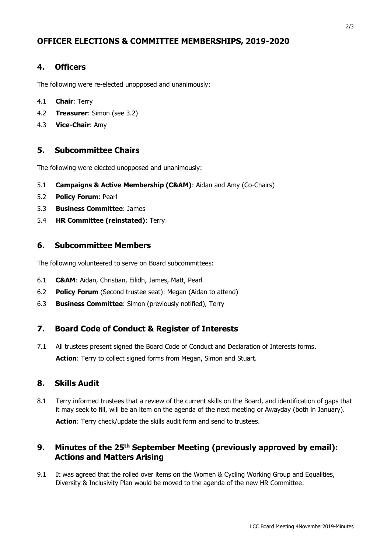# **OFFICER ELECTIONS & COMMITTEE MEMBERSHIPS, 2019-2020**

## **4. Officers**

The following were re-elected unopposed and unanimously:

- 4.1 **Chair**: Terry
- 4.2 **Treasurer**: Simon (see 3.2)
- 4.3 **Vice-Chair**: Amy

### **5. Subcommittee Chairs**

The following were elected unopposed and unanimously:

- 5.1 **Campaigns & Active Membership (C&AM)**: Aidan and Amy (Co-Chairs)
- 5.2 **Policy Forum**: Pearl
- 5.3 **Business Committee**: James
- 5.4 **HR Committee (reinstated)**: Terry

#### **6. Subcommittee Members**

The following volunteered to serve on Board subcommittees:

- 6.1 **C&AM**: Aidan, Christian, Eilidh, James, Matt, Pearl
- 6.2 **Policy Forum** (Second trustee seat): Megan (Aidan to attend)
- 6.3 **Business Committee**: Simon (previously notified), Terry

## **7. Board Code of Conduct & Register of Interests**

7.1 All trustees present signed the Board Code of Conduct and Declaration of Interests forms. **Action**: Terry to collect signed forms from Megan, Simon and Stuart.

#### **8. Skills Audit**

8.1 Terry informed trustees that a review of the current skills on the Board, and identification of gaps that it may seek to fill, will be an item on the agenda of the next meeting or Awayday (both in January).

Action: Terry check/update the skills audit form and send to trustees.

# **9. Minutes of the 25 th September Meeting (previously approved by email): Actions and Matters Arising**

9.1 It was agreed that the rolled over items on the Women & Cycling Working Group and Equalities, Diversity & Inclusivity Plan would be moved to the agenda of the new HR Committee.